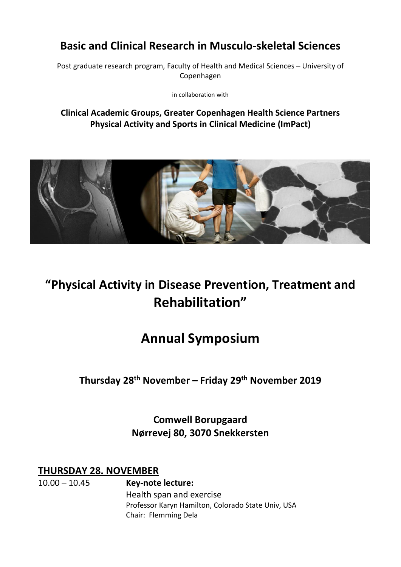# **Basic and Clinical Research in Musculo-skeletal Sciences**

Post graduate research program, Faculty of Health and Medical Sciences – University of Copenhagen

in collaboration with

### **Clinical Academic Groups, Greater Copenhagen Health Science Partners Physical Activity and Sports in Clinical Medicine (ImPact)**



# **"Physical Activity in Disease Prevention, Treatment and Rehabilitation"**

# **Annual Symposium**

**Thursday 28 th November – Friday 29th November 2019**

**Comwell Borupgaard Nørrevej 80, 3070 Snekkersten**

**THURSDAY 28. NOVEMBER**

10.00 – 10.45 **Key-note lecture:** Health span and exercise Professor Karyn Hamilton, Colorado State Univ, USA Chair: Flemming Dela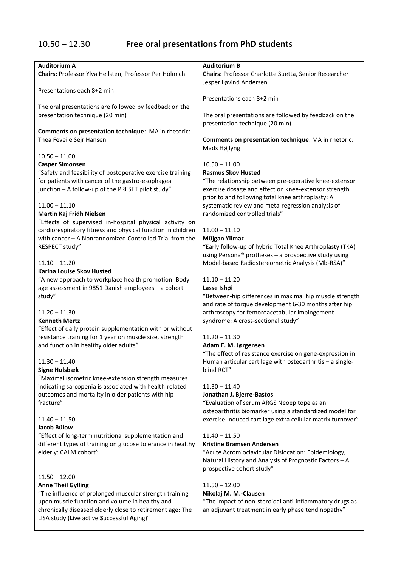# 10.50 – 12.30 **Free oral presentations from PhD students**

| <b>Auditorium A</b>                                         | <b>Auditorium B</b>                                        |
|-------------------------------------------------------------|------------------------------------------------------------|
| Chairs: Professor Ylva Hellsten, Professor Per Hölmich      | Chairs: Professor Charlotte Suetta, Senior Researcher      |
|                                                             | Jesper Løvind Andersen                                     |
| Presentations each 8+2 min                                  |                                                            |
|                                                             | Presentations each 8+2 min                                 |
| The oral presentations are followed by feedback on the      |                                                            |
| presentation technique (20 min)                             | The oral presentations are followed by feedback on the     |
|                                                             | presentation technique (20 min)                            |
| Comments on presentation technique: MA in rhetoric:         |                                                            |
| Thea Feveile Sejr Hansen                                    | Comments on presentation technique: MA in rhetoric:        |
|                                                             | Mads Højlyng                                               |
| $10.50 - 11.00$                                             |                                                            |
| <b>Casper Simonsen</b>                                      | $10.50 - 11.00$                                            |
| "Safety and feasibility of postoperative exercise training  | <b>Rasmus Skov Husted</b>                                  |
| for patients with cancer of the gastro-esophageal           | "The relationship between pre-operative knee-extensor      |
| junction - A follow-up of the PRESET pilot study"           | exercise dosage and effect on knee-extensor strength       |
|                                                             | prior to and following total knee arthroplasty: A          |
| $11.00 - 11.10$                                             | systematic review and meta-regression analysis of          |
| Martin Kaj Fridh Nielsen                                    | randomized controlled trials"                              |
| "Effects of supervised in-hospital physical activity on     |                                                            |
| cardiorespiratory fitness and physical function in children | $11.00 - 11.10$                                            |
| with cancer - A Nonrandomized Controlled Trial from the     | Müjgan Yilmaz                                              |
| RESPECT study"                                              | "Early follow-up of hybrid Total Knee Arthroplasty (TKA)   |
|                                                             | using Persona® protheses - a prospective study using       |
| $11.10 - 11.20$                                             | Model-based Radiostereometric Analysis (Mb-RSA)"           |
| Karina Louise Skov Husted                                   |                                                            |
| "A new approach to workplace health promotion: Body         | $11.10 - 11.20$                                            |
| age assessment in 9851 Danish employees - a cohort          | Lasse Ishøi                                                |
| study"                                                      | "Between-hip differences in maximal hip muscle strength    |
|                                                             | and rate of torque development 6-30 months after hip       |
| $11.20 - 11.30$                                             | arthroscopy for femoroacetabular impingement               |
| <b>Kenneth Mertz</b>                                        | syndrome: A cross-sectional study"                         |
| "Effect of daily protein supplementation with or without    |                                                            |
| resistance training for 1 year on muscle size, strength     | $11.20 - 11.30$                                            |
| and function in healthy older adults"                       | Adam E. M. Jørgensen                                       |
|                                                             | "The effect of resistance exercise on gene-expression in   |
| $11.30 - 11.40$                                             | Human articular cartilage with osteoarthritis - a single-  |
| <b>Signe Hulsbæk</b>                                        | blind RCT"                                                 |
| "Maximal isometric knee-extension strength measures         |                                                            |
| indicating sarcopenia is associated with health-related     | $11.30 - 11.40$                                            |
| outcomes and mortality in older patients with hip           | Jonathan J. Bjerre-Bastos                                  |
| fracture"                                                   | "Evaluation of serum ARGS Neoepitope as an                 |
|                                                             | osteoarthritis biomarker using a standardized model for    |
| $11.40 - 11.50$                                             | exercise-induced cartilage extra cellular matrix turnover" |
| Jacob Bülow                                                 |                                                            |
| "Effect of long-term nutritional supplementation and        | $11.40 - 11.50$                                            |
| different types of training on glucose tolerance in healthy | <b>Kristine Bramsen Andersen</b>                           |
| elderly: CALM cohort"                                       | "Acute Acromioclavicular Dislocation: Epidemiology,        |
|                                                             | Natural History and Analysis of Prognostic Factors - A     |
|                                                             | prospective cohort study"                                  |
| $11.50 - 12.00$                                             |                                                            |
| <b>Anne Theil Gylling</b>                                   | $11.50 - 12.00$                                            |
| "The influence of prolonged muscular strength training      | Nikolaj M. M.-Clausen                                      |
| upon muscle function and volume in healthy and              | "The impact of non-steroidal anti-inflammatory drugs as    |
| chronically diseased elderly close to retirement age: The   | an adjuvant treatment in early phase tendinopathy"         |
| LISA study (Live active Successful Aging)"                  |                                                            |
|                                                             |                                                            |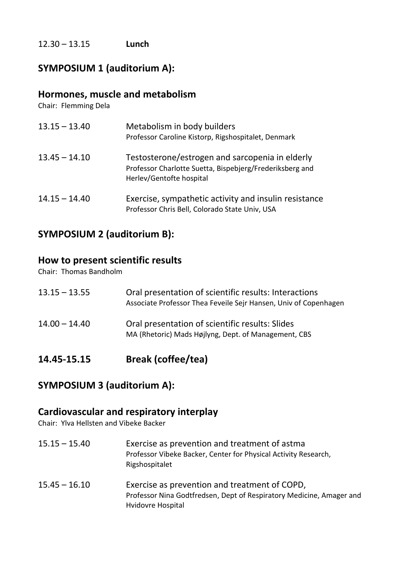12.30 – 13.15 **Lunch**

### **SYMPOSIUM 1 (auditorium A):**

### **Hormones, muscle and metabolism**

Chair: Flemming Dela

| $13.15 - 13.40$ | Metabolism in body builders<br>Professor Caroline Kistorp, Rigshospitalet, Denmark                                                      |
|-----------------|-----------------------------------------------------------------------------------------------------------------------------------------|
| $13.45 - 14.10$ | Testosterone/estrogen and sarcopenia in elderly<br>Professor Charlotte Suetta, Bispebjerg/Frederiksberg and<br>Herlev/Gentofte hospital |
| $14.15 - 14.40$ | Exercise, sympathetic activity and insulin resistance<br>Professor Chris Bell, Colorado State Univ, USA                                 |

### **SYMPOSIUM 2 (auditorium B):**

### **How to present scientific results**

Chair: Thomas Bandholm

| 14.45-15.15     | <b>Break (coffee/tea)</b>                                                                                                 |
|-----------------|---------------------------------------------------------------------------------------------------------------------------|
| $14.00 - 14.40$ | Oral presentation of scientific results: Slides<br>MA (Rhetoric) Mads Højlyng, Dept. of Management, CBS                   |
| $13.15 - 13.55$ | Oral presentation of scientific results: Interactions<br>Associate Professor Thea Feveile Sejr Hansen, Univ of Copenhagen |

### **SYMPOSIUM 3 (auditorium A):**

### **Cardiovascular and respiratory interplay**

Chair: Ylva Hellsten and Vibeke Backer

- 15.15 15.40 Exercise as prevention and treatment of astma Professor Vibeke Backer, Center for Physical Activity Research, Rigshospitalet
- 15.45 16.10 Exercise as prevention and treatment of COPD, Professor Nina Godtfredsen, Dept of Respiratory Medicine, Amager and Hvidovre Hospital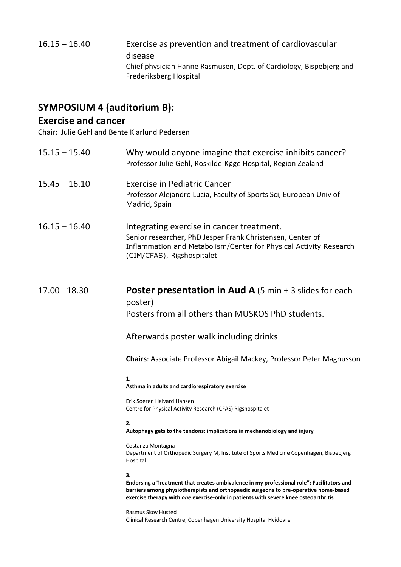| $16.15 - 16.40$ | Exercise as prevention and treatment of cardiovascular              |
|-----------------|---------------------------------------------------------------------|
|                 | disease                                                             |
|                 | Chief physician Hanne Rasmusen, Dept. of Cardiology, Bispebjerg and |
|                 | Frederiksberg Hospital                                              |

# **SYMPOSIUM 4 (auditorium B):**

### **Exercise and cancer**

Chair: Julie Gehl and Bente Klarlund Pedersen

| $15.15 - 15.40$ | Why would anyone imagine that exercise inhibits cancer?<br>Professor Julie Gehl, Roskilde-Køge Hospital, Region Zealand                                                                                                                                                        |
|-----------------|--------------------------------------------------------------------------------------------------------------------------------------------------------------------------------------------------------------------------------------------------------------------------------|
| $15.45 - 16.10$ | <b>Exercise in Pediatric Cancer</b><br>Professor Alejandro Lucia, Faculty of Sports Sci, European Univ of<br>Madrid, Spain                                                                                                                                                     |
| $16.15 - 16.40$ | Integrating exercise in cancer treatment.<br>Senior researcher, PhD Jesper Frank Christensen, Center of<br>Inflammation and Metabolism/Center for Physical Activity Research<br>(CIM/CFAS), Rigshospitalet                                                                     |
| $17.00 - 18.30$ | <b>Poster presentation in Aud A</b> $(5 \text{ min} + 3 \text{ slides for each})$<br>poster)<br>Posters from all others than MUSKOS PhD students.                                                                                                                              |
|                 | Afterwards poster walk including drinks                                                                                                                                                                                                                                        |
|                 | <b>Chairs: Associate Professor Abigail Mackey, Professor Peter Magnusson</b>                                                                                                                                                                                                   |
|                 | 1.<br>Asthma in adults and cardiorespiratory exercise                                                                                                                                                                                                                          |
|                 | Erik Soeren Halvard Hansen<br>Centre for Physical Activity Research (CFAS) Rigshospitalet                                                                                                                                                                                      |
|                 | 2.<br>Autophagy gets to the tendons: implications in mechanobiology and injury                                                                                                                                                                                                 |
|                 | Costanza Montagna<br>Department of Orthopedic Surgery M, Institute of Sports Medicine Copenhagen, Bispebjerg<br>Hospital                                                                                                                                                       |
|                 | 3.<br>Endorsing a Treatment that creates ambivalence in my professional role": Facilitators and<br>barriers among physiotherapists and orthopaedic surgeons to pre-operative home-based<br>exercise therapy with one exercise-only in patients with severe knee osteoarthritis |
|                 | Rasmus Skov Husted<br>Clinical Research Centre, Copenhagen University Hospital Hvidovre                                                                                                                                                                                        |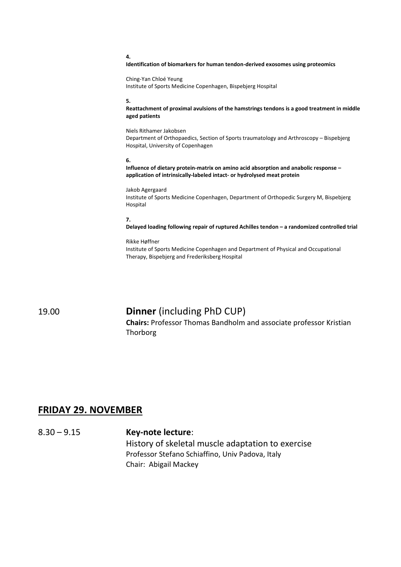#### **4.**

#### **Identification of biomarkers for human tendon-derived exosomes using proteomics**

Ching-Yan Chloé Yeung Institute of Sports Medicine Copenhagen, Bispebjerg Hospital

#### **5.**

**Reattachment of proximal avulsions of the hamstrings tendons is a good treatment in middle aged patients**

Niels Rithamer Jakobsen Department of Orthopaedics, Section of Sports traumatology and Arthroscopy – Bispebjerg Hospital, University of Copenhagen

#### **6.**

**Influence of dietary protein-matrix on amino acid absorption and anabolic response – application of intrinsically-labeled intact- or hydrolysed meat protein**

Jakob Agergaard Institute of Sports Medicine Copenhagen, Department of Orthopedic Surgery M, Bispebjerg Hospital

#### **7.**

**Delayed loading following repair of ruptured Achilles tendon – a randomized controlled trial**

#### Rikke Høffner Institute of Sports Medicine Copenhagen and Department of Physical and Occupational Therapy, Bispebjerg and Frederiksberg Hospital

### 19.00 **Dinner** (including PhD CUP)

**Chairs:** Professor Thomas Bandholm and associate professor Kristian Thorborg

### **FRIDAY 29. NOVEMBER**

8.30 – 9.15 **Key-note lecture**: History of skeletal muscle adaptation to exercise Professor Stefano Schiaffino, Univ Padova, Italy Chair: Abigail Mackey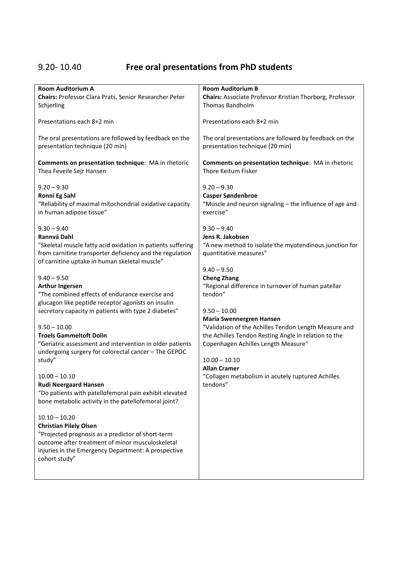# 9.20- 10.40 **Free oral presentations from PhD students**

| <b>Room Auditorium A</b>                                                                                                                                                                                                                                                                                                                                                                                                                                                                                                                                                                                                                                                                                                                                                                             | <b>Room Auditorium B</b>                                                                                                                                                                                                                                                                                                                                                                                                     |
|------------------------------------------------------------------------------------------------------------------------------------------------------------------------------------------------------------------------------------------------------------------------------------------------------------------------------------------------------------------------------------------------------------------------------------------------------------------------------------------------------------------------------------------------------------------------------------------------------------------------------------------------------------------------------------------------------------------------------------------------------------------------------------------------------|------------------------------------------------------------------------------------------------------------------------------------------------------------------------------------------------------------------------------------------------------------------------------------------------------------------------------------------------------------------------------------------------------------------------------|
| Chairs: Professor Clara Prats, Senior Researcher Peter                                                                                                                                                                                                                                                                                                                                                                                                                                                                                                                                                                                                                                                                                                                                               | Chairs: Associate Professor Kristian Thorborg, Professor                                                                                                                                                                                                                                                                                                                                                                     |
| Schjerling                                                                                                                                                                                                                                                                                                                                                                                                                                                                                                                                                                                                                                                                                                                                                                                           | <b>Thomas Bandholm</b>                                                                                                                                                                                                                                                                                                                                                                                                       |
| Presentations each 8+2 min                                                                                                                                                                                                                                                                                                                                                                                                                                                                                                                                                                                                                                                                                                                                                                           | Presentations each 8+2 min                                                                                                                                                                                                                                                                                                                                                                                                   |
| The oral presentations are followed by feedback on the                                                                                                                                                                                                                                                                                                                                                                                                                                                                                                                                                                                                                                                                                                                                               | The oral presentations are followed by feedback on the                                                                                                                                                                                                                                                                                                                                                                       |
| presentation technique (20 min)                                                                                                                                                                                                                                                                                                                                                                                                                                                                                                                                                                                                                                                                                                                                                                      | presentation technique (20 min)                                                                                                                                                                                                                                                                                                                                                                                              |
| Comments on presentation technique: MA in rhetoric                                                                                                                                                                                                                                                                                                                                                                                                                                                                                                                                                                                                                                                                                                                                                   | Comments on presentation technique: MA in rhetoric                                                                                                                                                                                                                                                                                                                                                                           |
| Thea Feveile Sejr Hansen                                                                                                                                                                                                                                                                                                                                                                                                                                                                                                                                                                                                                                                                                                                                                                             | Thore Keitum Fisker                                                                                                                                                                                                                                                                                                                                                                                                          |
| $9.20 - 9.30$                                                                                                                                                                                                                                                                                                                                                                                                                                                                                                                                                                                                                                                                                                                                                                                        | $9.20 - 9.30$                                                                                                                                                                                                                                                                                                                                                                                                                |
| Ronni Eg Sahl                                                                                                                                                                                                                                                                                                                                                                                                                                                                                                                                                                                                                                                                                                                                                                                        | Casper Søndenbroe                                                                                                                                                                                                                                                                                                                                                                                                            |
| "Reliability of maximal mitochondrial oxidative capacity                                                                                                                                                                                                                                                                                                                                                                                                                                                                                                                                                                                                                                                                                                                                             | "Muscle and neuron signaling - the influence of age and                                                                                                                                                                                                                                                                                                                                                                      |
| in human adipose tissue"                                                                                                                                                                                                                                                                                                                                                                                                                                                                                                                                                                                                                                                                                                                                                                             | exercise"                                                                                                                                                                                                                                                                                                                                                                                                                    |
| $9.30 - 9.40$<br>Rannvá Dahl<br>"Skeletal muscle fatty acid oxidation in patients suffering<br>from carnitine transporter deficiency and the regulation<br>of carnitine uptake in human skeletal muscle"                                                                                                                                                                                                                                                                                                                                                                                                                                                                                                                                                                                             | $9.30 - 9.40$<br>Jens R. Jakobsen<br>"A new method to isolate the myotendinous junction for<br>quantitative measures"                                                                                                                                                                                                                                                                                                        |
| $9.40 - 9.50$<br><b>Arthur Ingersen</b><br>"The combined effects of endurance exercise and<br>glucagon like peptide receptor agonists on insulin<br>secretory capacity in patients with type 2 diabetes"<br>$9.50 - 10.00$<br><b>Troels Gammeltoft Dolin</b><br>"Geriatric assessment and intervention in older patients<br>undergoing surgery for colorectal cancer - The GEPOC<br>study"<br>$10.00 - 10.10$<br><b>Rudi Neergaard Hansen</b><br>"Do patients with patellofemoral pain exhibit elevated<br>bone metabolic activity in the patellofemoral joint?<br>$10.10 - 10.20$<br><b>Christian Pilely Olsen</b><br>"Projected prognosis as a predictor of short-term<br>outcome after treatment of minor musculoskeletal<br>injuries in the Emergency Department: A prospective<br>cohort study" | $9.40 - 9.50$<br><b>Cheng Zhang</b><br>"Regional difference in turnover of human patellar<br>tendon"<br>$9.50 - 10.00$<br><b>Maria Swennergren Hansen</b><br>"Validation of the Achilles Tendon Length Measure and<br>the Achilles Tendon Resting Angle in relation to the<br>Copenhagen Achilles Length Measure"<br>$10.00 - 10.10$<br><b>Allan Cramer</b><br>"Collagen metabolism in acutely ruptured Achilles<br>tendons" |